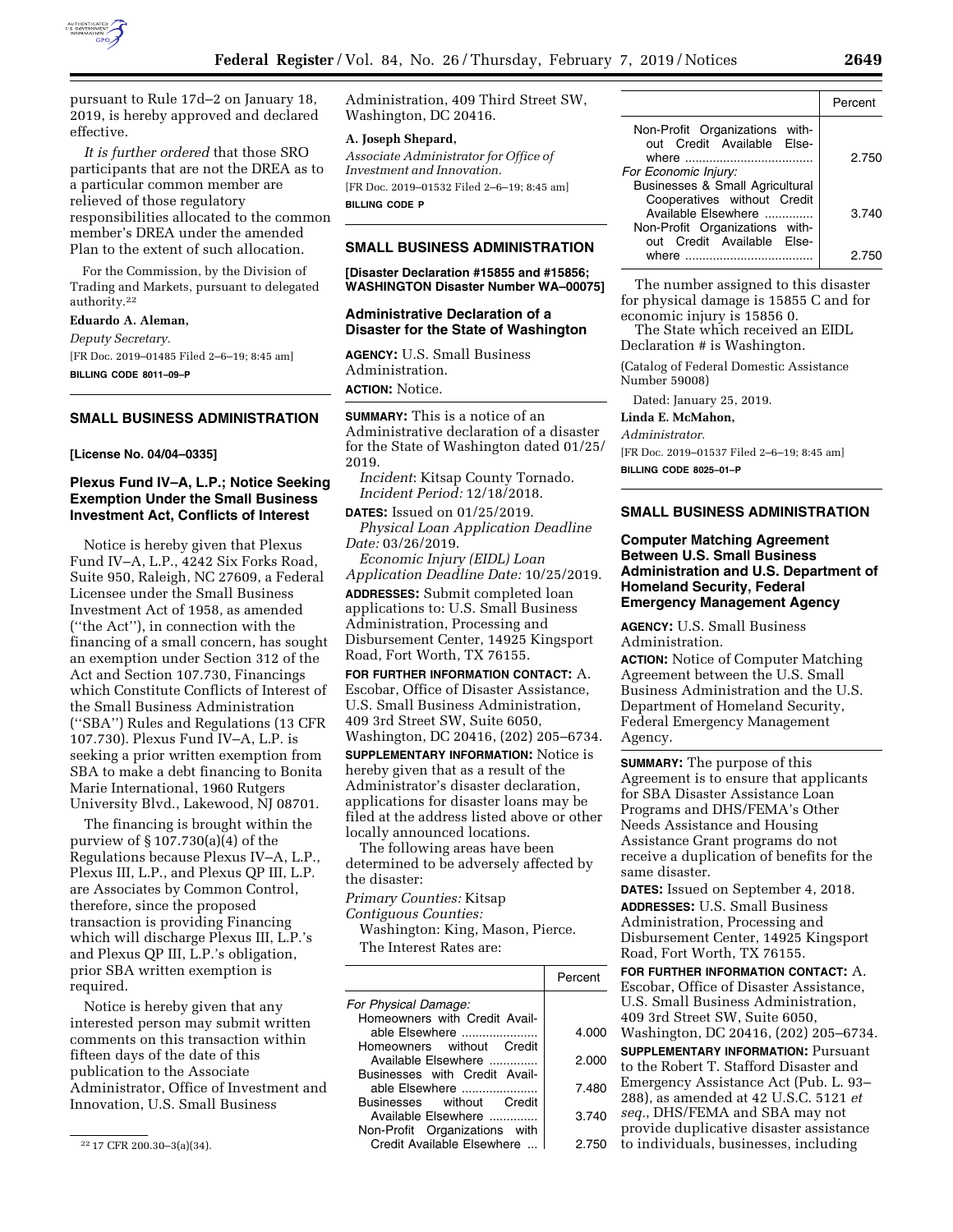

pursuant to Rule 17d–2 on January 18, 2019, is hereby approved and declared effective.

*It is further ordered* that those SRO participants that are not the DREA as to a particular common member are relieved of those regulatory responsibilities allocated to the common member's DREA under the amended Plan to the extent of such allocation.

For the Commission, by the Division of Trading and Markets, pursuant to delegated authority.22

**Eduardo A. Aleman,** 

*Deputy Secretary.*  [FR Doc. 2019–01485 Filed 2–6–19; 8:45 am]

**BILLING CODE 8011–09–P** 

## **SMALL BUSINESS ADMINISTRATION**

**[License No. 04/04–0335]** 

## **Plexus Fund IV–A, L.P.; Notice Seeking Exemption Under the Small Business Investment Act, Conflicts of Interest**

Notice is hereby given that Plexus Fund IV–A, L.P., 4242 Six Forks Road, Suite 950, Raleigh, NC 27609, a Federal Licensee under the Small Business Investment Act of 1958, as amended (''the Act''), in connection with the financing of a small concern, has sought an exemption under Section 312 of the Act and Section 107.730, Financings which Constitute Conflicts of Interest of the Small Business Administration (''SBA'') Rules and Regulations (13 CFR 107.730). Plexus Fund IV–A, L.P. is seeking a prior written exemption from SBA to make a debt financing to Bonita Marie International, 1960 Rutgers University Blvd., Lakewood, NJ 08701.

The financing is brought within the purview of § 107.730(a)(4) of the Regulations because Plexus IV–A, L.P., Plexus III, L.P., and Plexus QP III, L.P. are Associates by Common Control, therefore, since the proposed transaction is providing Financing which will discharge Plexus III, L.P.'s and Plexus QP III, L.P.'s obligation, prior SBA written exemption is required.

Notice is hereby given that any interested person may submit written comments on this transaction within fifteen days of the date of this publication to the Associate Administrator, Office of Investment and Innovation, U.S. Small Business

Administration, 409 Third Street SW, Washington, DC 20416.

#### **A. Joseph Shepard,**

*Associate Administrator for Office of Investment and Innovation.*  [FR Doc. 2019–01532 Filed 2–6–19; 8:45 am] **BILLING CODE P** 

#### **SMALL BUSINESS ADMINISTRATION**

**[Disaster Declaration #15855 and #15856; WASHINGTON Disaster Number WA–00075]** 

#### **Administrative Declaration of a Disaster for the State of Washington**

**AGENCY:** U.S. Small Business Administration. **ACTION:** Notice.

**SUMMARY:** This is a notice of an Administrative declaration of a disaster for the State of Washington dated 01/25/ 2019.

*Incident*: Kitsap County Tornado. *Incident Period:* 12/18/2018.

**DATES:** Issued on 01/25/2019. *Physical Loan Application Deadline* 

*Date:* 03/26/2019. *Economic Injury (EIDL) Loan* 

*Application Deadline Date:* 10/25/2019. **ADDRESSES:** Submit completed loan applications to: U.S. Small Business Administration, Processing and Disbursement Center, 14925 Kingsport Road, Fort Worth, TX 76155.

**FOR FURTHER INFORMATION CONTACT:** A. Escobar, Office of Disaster Assistance, U.S. Small Business Administration, 409 3rd Street SW, Suite 6050, Washington, DC 20416, (202) 205–6734.

**SUPPLEMENTARY INFORMATION:** Notice is hereby given that as a result of the Administrator's disaster declaration, applications for disaster loans may be filed at the address listed above or other locally announced locations.

The following areas have been determined to be adversely affected by the disaster:

*Primary Counties:* Kitsap

*Contiguous Counties:* 

Washington: King, Mason, Pierce. The Interest Rates are:

|                                                             | Percent |
|-------------------------------------------------------------|---------|
| For Physical Damage:                                        |         |
| Homeowners with Credit Avail-<br>able Elsewhere             | 4.000   |
| Homeowners without<br>Credit                                |         |
| Available Elsewhere                                         | 2.000   |
| Businesses with Credit Avail-<br>able Elsewhere             | 7.480   |
| Businesses without Credit                                   |         |
| Available Elsewhere                                         | 3.740   |
| Non-Profit Organizations with<br>Credit Available Elsewhere | 2.750   |

|                                                                                      | Percent |
|--------------------------------------------------------------------------------------|---------|
| Non-Profit Organizations with-<br>out Credit Available Else-                         | 2.750   |
| For Economic Injury:<br>Businesses & Small Agricultural                              |         |
| Cooperatives without Credit<br>Available Elsewhere<br>Non-Profit Organizations with- | 3.740   |
| out Credit Available Else-<br>where                                                  | 2 75    |

The number assigned to this disaster for physical damage is 15855 C and for economic injury is 15856 0.

The State which received an EIDL Declaration # is Washington.

(Catalog of Federal Domestic Assistance Number 59008)

Dated: January 25, 2019.

**Linda E. McMahon,**  *Administrator.* 

[FR Doc. 2019–01537 Filed 2–6–19; 8:45 am] **BILLING CODE 8025–01–P** 

## **SMALL BUSINESS ADMINISTRATION**

## **Computer Matching Agreement Between U.S. Small Business Administration and U.S. Department of Homeland Security, Federal Emergency Management Agency**

**AGENCY:** U.S. Small Business Administration.

**ACTION:** Notice of Computer Matching Agreement between the U.S. Small Business Administration and the U.S. Department of Homeland Security, Federal Emergency Management Agency.

**SUMMARY:** The purpose of this Agreement is to ensure that applicants for SBA Disaster Assistance Loan Programs and DHS/FEMA's Other Needs Assistance and Housing Assistance Grant programs do not receive a duplication of benefits for the same disaster.

**DATES:** Issued on September 4, 2018.

**ADDRESSES:** U.S. Small Business Administration, Processing and Disbursement Center, 14925 Kingsport Road, Fort Worth, TX 76155.

**FOR FURTHER INFORMATION CONTACT:** A. Escobar, Office of Disaster Assistance, U.S. Small Business Administration, 409 3rd Street SW, Suite 6050,

Washington, DC 20416, (202) 205–6734. **SUPPLEMENTARY INFORMATION: Pursuant** 

to the Robert T. Stafford Disaster and Emergency Assistance Act (Pub. L. 93–

288), as amended at 42 U.S.C. 5121 *et seq.*, DHS/FEMA and SBA may not

provide duplicative disaster assistance to individuals, businesses, including

<sup>22</sup> 17 CFR 200.30–3(a)(34).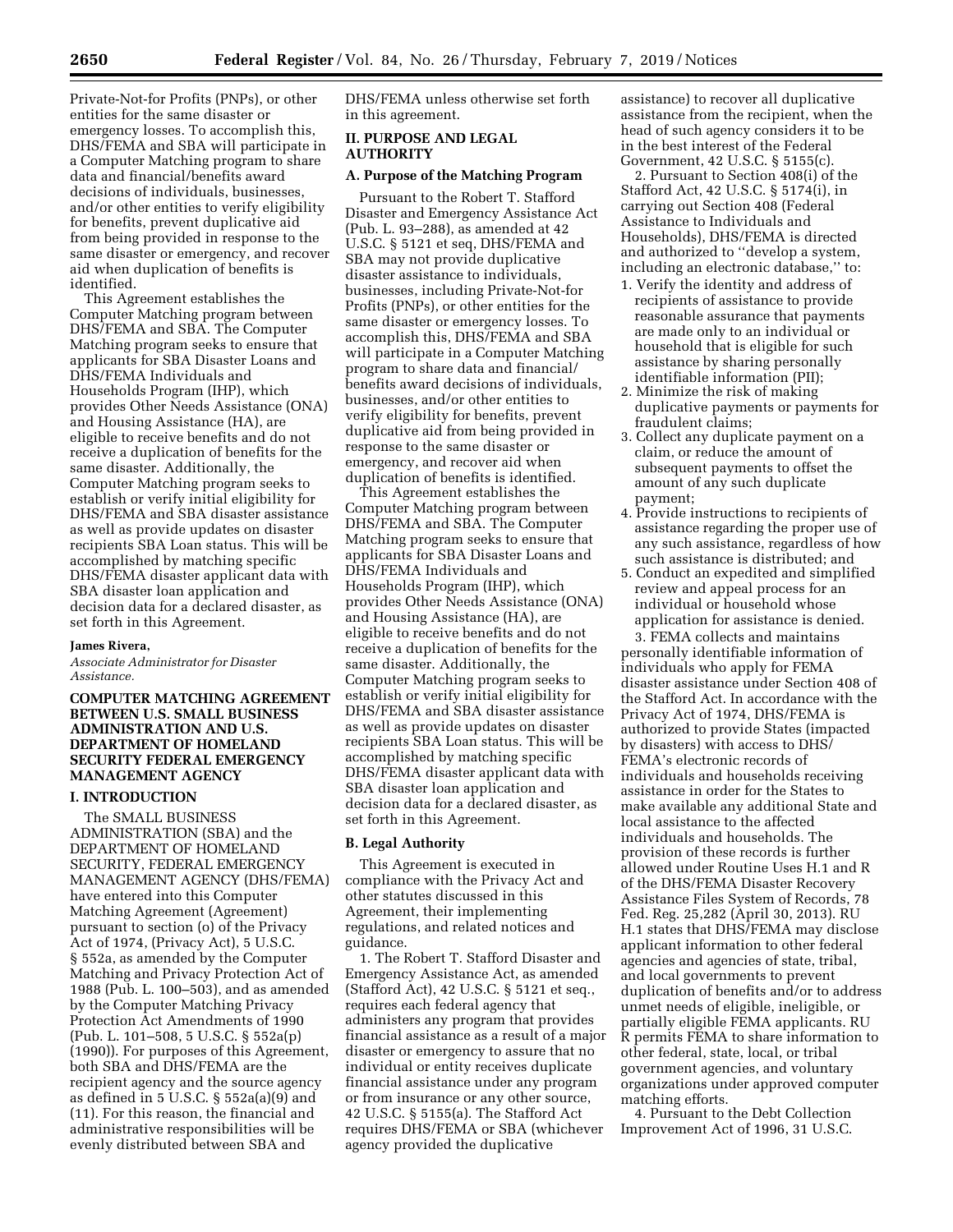Private-Not-for Profits (PNPs), or other entities for the same disaster or emergency losses. To accomplish this, DHS/FEMA and SBA will participate in a Computer Matching program to share data and financial/benefits award decisions of individuals, businesses, and/or other entities to verify eligibility for benefits, prevent duplicative aid from being provided in response to the same disaster or emergency, and recover aid when duplication of benefits is identified.

This Agreement establishes the Computer Matching program between DHS/FEMA and SBA. The Computer Matching program seeks to ensure that applicants for SBA Disaster Loans and DHS/FEMA Individuals and Households Program (IHP), which provides Other Needs Assistance (ONA) and Housing Assistance (HA), are eligible to receive benefits and do not receive a duplication of benefits for the same disaster. Additionally, the Computer Matching program seeks to establish or verify initial eligibility for DHS/FEMA and SBA disaster assistance as well as provide updates on disaster recipients SBA Loan status. This will be accomplished by matching specific DHS/FEMA disaster applicant data with SBA disaster loan application and decision data for a declared disaster, as set forth in this Agreement.

#### **James Rivera,**

*Associate Administrator for Disaster Assistance.* 

## **COMPUTER MATCHING AGREEMENT BETWEEN U.S. SMALL BUSINESS ADMINISTRATION AND U.S. DEPARTMENT OF HOMELAND SECURITY FEDERAL EMERGENCY MANAGEMENT AGENCY**

#### **I. INTRODUCTION**

The SMALL BUSINESS ADMINISTRATION (SBA) and the DEPARTMENT OF HOMELAND SECURITY, FEDERAL EMERGENCY MANAGEMENT AGENCY (DHS/FEMA) have entered into this Computer Matching Agreement (Agreement) pursuant to section (o) of the Privacy Act of 1974, (Privacy Act), 5 U.S.C. § 552a, as amended by the Computer Matching and Privacy Protection Act of 1988 (Pub. L. 100–503), and as amended by the Computer Matching Privacy Protection Act Amendments of 1990 (Pub. L. 101–508, 5 U.S.C. § 552a(p) (1990)). For purposes of this Agreement, both SBA and DHS/FEMA are the recipient agency and the source agency as defined in 5 U.S.C. § 552a(a)(9) and (11). For this reason, the financial and administrative responsibilities will be evenly distributed between SBA and

DHS/FEMA unless otherwise set forth in this agreement.

## **II. PURPOSE AND LEGAL AUTHORITY**

### **A. Purpose of the Matching Program**

Pursuant to the Robert T. Stafford Disaster and Emergency Assistance Act (Pub. L. 93–288), as amended at 42 U.S.C. § 5121 et seq, DHS/FEMA and SBA may not provide duplicative disaster assistance to individuals, businesses, including Private-Not-for Profits (PNPs), or other entities for the same disaster or emergency losses. To accomplish this, DHS/FEMA and SBA will participate in a Computer Matching program to share data and financial/ benefits award decisions of individuals, businesses, and/or other entities to verify eligibility for benefits, prevent duplicative aid from being provided in response to the same disaster or emergency, and recover aid when duplication of benefits is identified.

This Agreement establishes the Computer Matching program between DHS/FEMA and SBA. The Computer Matching program seeks to ensure that applicants for SBA Disaster Loans and DHS/FEMA Individuals and Households Program (IHP), which provides Other Needs Assistance (ONA) and Housing Assistance (HA), are eligible to receive benefits and do not receive a duplication of benefits for the same disaster. Additionally, the Computer Matching program seeks to establish or verify initial eligibility for DHS/FEMA and SBA disaster assistance as well as provide updates on disaster recipients SBA Loan status. This will be accomplished by matching specific DHS/FEMA disaster applicant data with SBA disaster loan application and decision data for a declared disaster, as set forth in this Agreement.

#### **B. Legal Authority**

This Agreement is executed in compliance with the Privacy Act and other statutes discussed in this Agreement, their implementing regulations, and related notices and guidance.

1. The Robert T. Stafford Disaster and Emergency Assistance Act, as amended (Stafford Act), 42 U.S.C. § 5121 et seq., requires each federal agency that administers any program that provides financial assistance as a result of a major disaster or emergency to assure that no individual or entity receives duplicate financial assistance under any program or from insurance or any other source, 42 U.S.C. § 5155(a). The Stafford Act requires DHS/FEMA or SBA (whichever agency provided the duplicative

assistance) to recover all duplicative assistance from the recipient, when the head of such agency considers it to be in the best interest of the Federal Government, 42 U.S.C. § 5155(c).

2. Pursuant to Section 408(i) of the Stafford Act, 42 U.S.C. § 5174(i), in carrying out Section 408 (Federal Assistance to Individuals and Households), DHS/FEMA is directed and authorized to ''develop a system, including an electronic database,'' to:

- 1. Verify the identity and address of recipients of assistance to provide reasonable assurance that payments are made only to an individual or household that is eligible for such assistance by sharing personally identifiable information (PII);
- 2. Minimize the risk of making duplicative payments or payments for fraudulent claims;
- 3. Collect any duplicate payment on a claim, or reduce the amount of subsequent payments to offset the amount of any such duplicate payment;
- 4. Provide instructions to recipients of assistance regarding the proper use of any such assistance, regardless of how such assistance is distributed; and
- 5. Conduct an expedited and simplified review and appeal process for an individual or household whose application for assistance is denied.

3. FEMA collects and maintains personally identifiable information of individuals who apply for FEMA disaster assistance under Section 408 of the Stafford Act. In accordance with the Privacy Act of 1974, DHS/FEMA is authorized to provide States (impacted by disasters) with access to DHS/ FEMA's electronic records of individuals and households receiving assistance in order for the States to make available any additional State and local assistance to the affected individuals and households. The provision of these records is further allowed under Routine Uses H.1 and R of the DHS/FEMA Disaster Recovery Assistance Files System of Records, 78 Fed. Reg. 25,282 (April 30, 2013). RU H.1 states that DHS/FEMA may disclose applicant information to other federal agencies and agencies of state, tribal, and local governments to prevent duplication of benefits and/or to address unmet needs of eligible, ineligible, or partially eligible FEMA applicants. RU R permits FEMA to share information to other federal, state, local, or tribal government agencies, and voluntary organizations under approved computer matching efforts.

4. Pursuant to the Debt Collection Improvement Act of 1996, 31 U.S.C.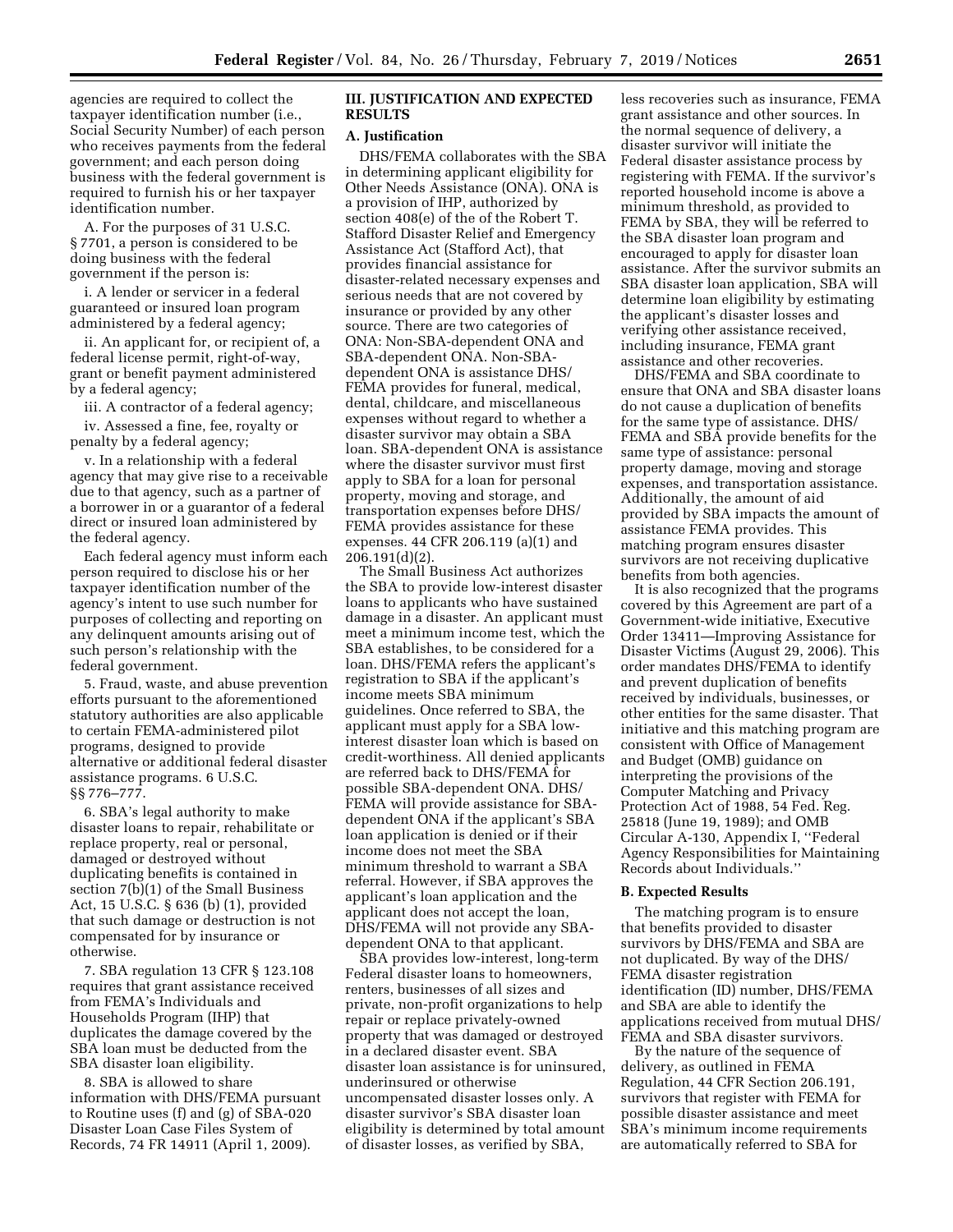agencies are required to collect the taxpayer identification number (i.e., Social Security Number) of each person who receives payments from the federal government; and each person doing business with the federal government is required to furnish his or her taxpayer identification number.

A. For the purposes of 31 U.S.C. § 7701, a person is considered to be doing business with the federal government if the person is:

i. A lender or servicer in a federal guaranteed or insured loan program administered by a federal agency;

ii. An applicant for, or recipient of, a federal license permit, right-of-way, grant or benefit payment administered by a federal agency;

iii. A contractor of a federal agency;

iv. Assessed a fine, fee, royalty or penalty by a federal agency;

v. In a relationship with a federal agency that may give rise to a receivable due to that agency, such as a partner of a borrower in or a guarantor of a federal direct or insured loan administered by the federal agency.

Each federal agency must inform each person required to disclose his or her taxpayer identification number of the agency's intent to use such number for purposes of collecting and reporting on any delinquent amounts arising out of such person's relationship with the federal government.

5. Fraud, waste, and abuse prevention efforts pursuant to the aforementioned statutory authorities are also applicable to certain FEMA-administered pilot programs, designed to provide alternative or additional federal disaster assistance programs. 6 U.S.C. §§ 776–777.

6. SBA's legal authority to make disaster loans to repair, rehabilitate or replace property, real or personal, damaged or destroyed without duplicating benefits is contained in section 7(b)(1) of the Small Business Act, 15 U.S.C. § 636 (b) (1), provided that such damage or destruction is not compensated for by insurance or otherwise.

7. SBA regulation 13 CFR § 123.108 requires that grant assistance received from FEMA's Individuals and Households Program (IHP) that duplicates the damage covered by the SBA loan must be deducted from the SBA disaster loan eligibility.

8. SBA is allowed to share information with DHS/FEMA pursuant to Routine uses (f) and (g) of SBA-020 Disaster Loan Case Files System of Records, 74 FR 14911 (April 1, 2009).

### **III. JUSTIFICATION AND EXPECTED RESULTS**

#### **A. Justification**

DHS/FEMA collaborates with the SBA in determining applicant eligibility for Other Needs Assistance (ONA). ONA is a provision of IHP, authorized by section 408(e) of the of the Robert T. Stafford Disaster Relief and Emergency Assistance Act (Stafford Act), that provides financial assistance for disaster-related necessary expenses and serious needs that are not covered by insurance or provided by any other source. There are two categories of ONA: Non-SBA-dependent ONA and SBA-dependent ONA. Non-SBAdependent ONA is assistance DHS/ FEMA provides for funeral, medical, dental, childcare, and miscellaneous expenses without regard to whether a disaster survivor may obtain a SBA loan. SBA-dependent ONA is assistance where the disaster survivor must first apply to SBA for a loan for personal property, moving and storage, and transportation expenses before DHS/ FEMA provides assistance for these expenses. 44 CFR 206.119 (a)(1) and 206.191(d)(2).

The Small Business Act authorizes the SBA to provide low-interest disaster loans to applicants who have sustained damage in a disaster. An applicant must meet a minimum income test, which the SBA establishes, to be considered for a loan. DHS/FEMA refers the applicant's registration to SBA if the applicant's income meets SBA minimum guidelines. Once referred to SBA, the applicant must apply for a SBA lowinterest disaster loan which is based on credit-worthiness. All denied applicants are referred back to DHS/FEMA for possible SBA-dependent ONA. DHS/ FEMA will provide assistance for SBAdependent ONA if the applicant's SBA loan application is denied or if their income does not meet the SBA minimum threshold to warrant a SBA referral. However, if SBA approves the applicant's loan application and the applicant does not accept the loan, DHS/FEMA will not provide any SBAdependent ONA to that applicant.

SBA provides low-interest, long-term Federal disaster loans to homeowners, renters, businesses of all sizes and private, non-profit organizations to help repair or replace privately-owned property that was damaged or destroyed in a declared disaster event. SBA disaster loan assistance is for uninsured, underinsured or otherwise uncompensated disaster losses only. A disaster survivor's SBA disaster loan eligibility is determined by total amount of disaster losses, as verified by SBA,

less recoveries such as insurance, FEMA grant assistance and other sources. In the normal sequence of delivery, a disaster survivor will initiate the Federal disaster assistance process by registering with FEMA. If the survivor's reported household income is above a minimum threshold, as provided to FEMA by SBA, they will be referred to the SBA disaster loan program and encouraged to apply for disaster loan assistance. After the survivor submits an SBA disaster loan application, SBA will determine loan eligibility by estimating the applicant's disaster losses and verifying other assistance received, including insurance, FEMA grant assistance and other recoveries.

DHS/FEMA and SBA coordinate to ensure that ONA and SBA disaster loans do not cause a duplication of benefits for the same type of assistance. DHS/ FEMA and SBA provide benefits for the same type of assistance: personal property damage, moving and storage expenses, and transportation assistance. Additionally, the amount of aid provided by SBA impacts the amount of assistance FEMA provides. This matching program ensures disaster survivors are not receiving duplicative benefits from both agencies.

It is also recognized that the programs covered by this Agreement are part of a Government-wide initiative, Executive Order 13411—Improving Assistance for Disaster Victims (August 29, 2006). This order mandates DHS/FEMA to identify and prevent duplication of benefits received by individuals, businesses, or other entities for the same disaster. That initiative and this matching program are consistent with Office of Management and Budget (OMB) guidance on interpreting the provisions of the Computer Matching and Privacy Protection Act of 1988, 54 Fed. Reg. 25818 (June 19, 1989); and OMB Circular A-130, Appendix I, ''Federal Agency Responsibilities for Maintaining Records about Individuals.''

#### **B. Expected Results**

The matching program is to ensure that benefits provided to disaster survivors by DHS/FEMA and SBA are not duplicated. By way of the DHS/ FEMA disaster registration identification (ID) number, DHS/FEMA and SBA are able to identify the applications received from mutual DHS/ FEMA and SBA disaster survivors.

By the nature of the sequence of delivery, as outlined in FEMA Regulation, 44 CFR Section 206.191, survivors that register with FEMA for possible disaster assistance and meet SBA's minimum income requirements are automatically referred to SBA for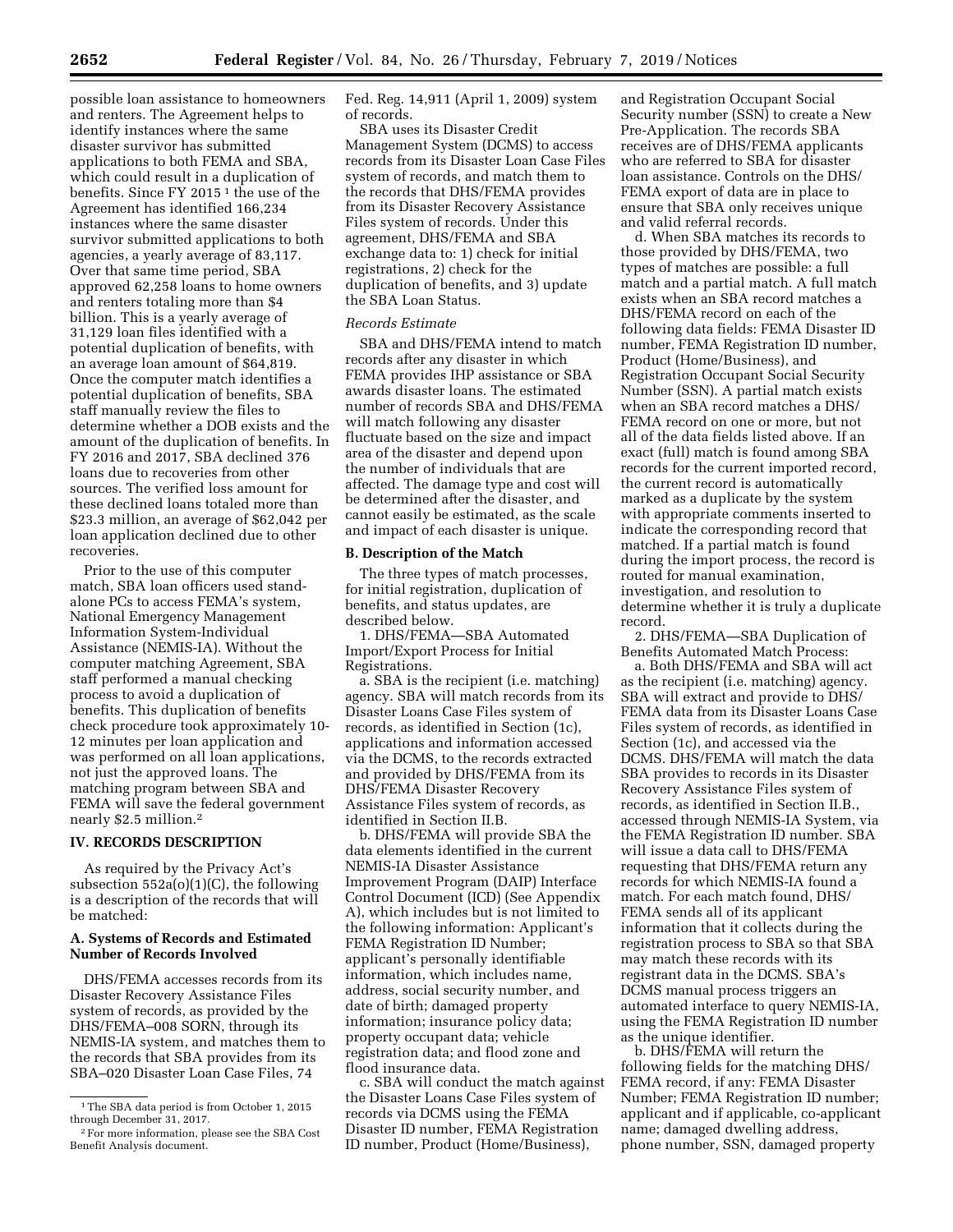possible loan assistance to homeowners and renters. The Agreement helps to identify instances where the same disaster survivor has submitted applications to both FEMA and SBA, which could result in a duplication of benefits. Since FY 2015<sup>1</sup> the use of the Agreement has identified 166,234 instances where the same disaster survivor submitted applications to both agencies, a yearly average of 83,117. Over that same time period, SBA approved 62,258 loans to home owners and renters totaling more than \$4 billion. This is a yearly average of 31,129 loan files identified with a potential duplication of benefits, with an average loan amount of \$64,819. Once the computer match identifies a potential duplication of benefits, SBA staff manually review the files to determine whether a DOB exists and the amount of the duplication of benefits. In FY 2016 and 2017, SBA declined 376 loans due to recoveries from other sources. The verified loss amount for these declined loans totaled more than \$23.3 million, an average of \$62,042 per loan application declined due to other recoveries.

Prior to the use of this computer match, SBA loan officers used standalone PCs to access FEMA's system, National Emergency Management Information System-Individual Assistance (NEMIS-IA). Without the computer matching Agreement, SBA staff performed a manual checking process to avoid a duplication of benefits. This duplication of benefits check procedure took approximately 10- 12 minutes per loan application and was performed on all loan applications, not just the approved loans. The matching program between SBA and FEMA will save the federal government nearly \$2.5 million.2

#### **IV. RECORDS DESCRIPTION**

As required by the Privacy Act's subsection 552a(o)(1)(C), the following is a description of the records that will be matched:

#### **A. Systems of Records and Estimated Number of Records Involved**

DHS/FEMA accesses records from its Disaster Recovery Assistance Files system of records, as provided by the DHS/FEMA–008 SORN, through its NEMIS-IA system, and matches them to the records that SBA provides from its SBA–020 Disaster Loan Case Files, 74

Fed. Reg. 14,911 (April 1, 2009) system of records.

SBA uses its Disaster Credit Management System (DCMS) to access records from its Disaster Loan Case Files system of records, and match them to the records that DHS/FEMA provides from its Disaster Recovery Assistance Files system of records. Under this agreement, DHS/FEMA and SBA exchange data to: 1) check for initial registrations, 2) check for the duplication of benefits, and 3) update the SBA Loan Status.

## *Records Estimate*

SBA and DHS/FEMA intend to match records after any disaster in which FEMA provides IHP assistance or SBA awards disaster loans. The estimated number of records SBA and DHS/FEMA will match following any disaster fluctuate based on the size and impact area of the disaster and depend upon the number of individuals that are affected. The damage type and cost will be determined after the disaster, and cannot easily be estimated, as the scale and impact of each disaster is unique.

#### **B. Description of the Match**

The three types of match processes, for initial registration, duplication of benefits, and status updates, are described below.

1. DHS/FEMA—SBA Automated Import/Export Process for Initial Registrations.

a. SBA is the recipient (i.e. matching) agency. SBA will match records from its Disaster Loans Case Files system of records, as identified in Section (1c), applications and information accessed via the DCMS, to the records extracted and provided by DHS/FEMA from its DHS/FEMA Disaster Recovery Assistance Files system of records, as identified in Section II.B.

b. DHS/FEMA will provide SBA the data elements identified in the current NEMIS-IA Disaster Assistance Improvement Program (DAIP) Interface Control Document (ICD) (See Appendix A), which includes but is not limited to the following information: Applicant's FEMA Registration ID Number; applicant's personally identifiable information, which includes name, address, social security number, and date of birth; damaged property information; insurance policy data; property occupant data; vehicle registration data; and flood zone and flood insurance data.

c. SBA will conduct the match against the Disaster Loans Case Files system of records via DCMS using the FEMA Disaster ID number, FEMA Registration ID number, Product (Home/Business),

and Registration Occupant Social Security number (SSN) to create a New Pre-Application. The records SBA receives are of DHS/FEMA applicants who are referred to SBA for disaster loan assistance. Controls on the DHS/ FEMA export of data are in place to ensure that SBA only receives unique and valid referral records.

d. When SBA matches its records to those provided by DHS/FEMA, two types of matches are possible: a full match and a partial match. A full match exists when an SBA record matches a DHS/FEMA record on each of the following data fields: FEMA Disaster ID number, FEMA Registration ID number, Product (Home/Business), and Registration Occupant Social Security Number (SSN). A partial match exists when an SBA record matches a DHS/ FEMA record on one or more, but not all of the data fields listed above. If an exact (full) match is found among SBA records for the current imported record, the current record is automatically marked as a duplicate by the system with appropriate comments inserted to indicate the corresponding record that matched. If a partial match is found during the import process, the record is routed for manual examination, investigation, and resolution to determine whether it is truly a duplicate record.

2. DHS/FEMA—SBA Duplication of Benefits Automated Match Process:

a. Both DHS/FEMA and SBA will act as the recipient (i.e. matching) agency. SBA will extract and provide to DHS/ FEMA data from its Disaster Loans Case Files system of records, as identified in Section (1c), and accessed via the DCMS. DHS/FEMA will match the data SBA provides to records in its Disaster Recovery Assistance Files system of records, as identified in Section II.B., accessed through NEMIS-IA System, via the FEMA Registration ID number. SBA will issue a data call to DHS/FEMA requesting that DHS/FEMA return any records for which NEMIS-IA found a match. For each match found, DHS/ FEMA sends all of its applicant information that it collects during the registration process to SBA so that SBA may match these records with its registrant data in the DCMS. SBA's DCMS manual process triggers an automated interface to query NEMIS-IA, using the FEMA Registration ID number as the unique identifier.

b. DHS/FEMA will return the following fields for the matching DHS/ FEMA record, if any: FEMA Disaster Number; FEMA Registration ID number; applicant and if applicable, co-applicant name; damaged dwelling address, phone number, SSN, damaged property

<sup>&</sup>lt;sup>1</sup>The SBA data period is from October 1, 2015 through December 31, 2017.

<sup>2</sup>For more information, please see the SBA Cost Benefit Analysis document.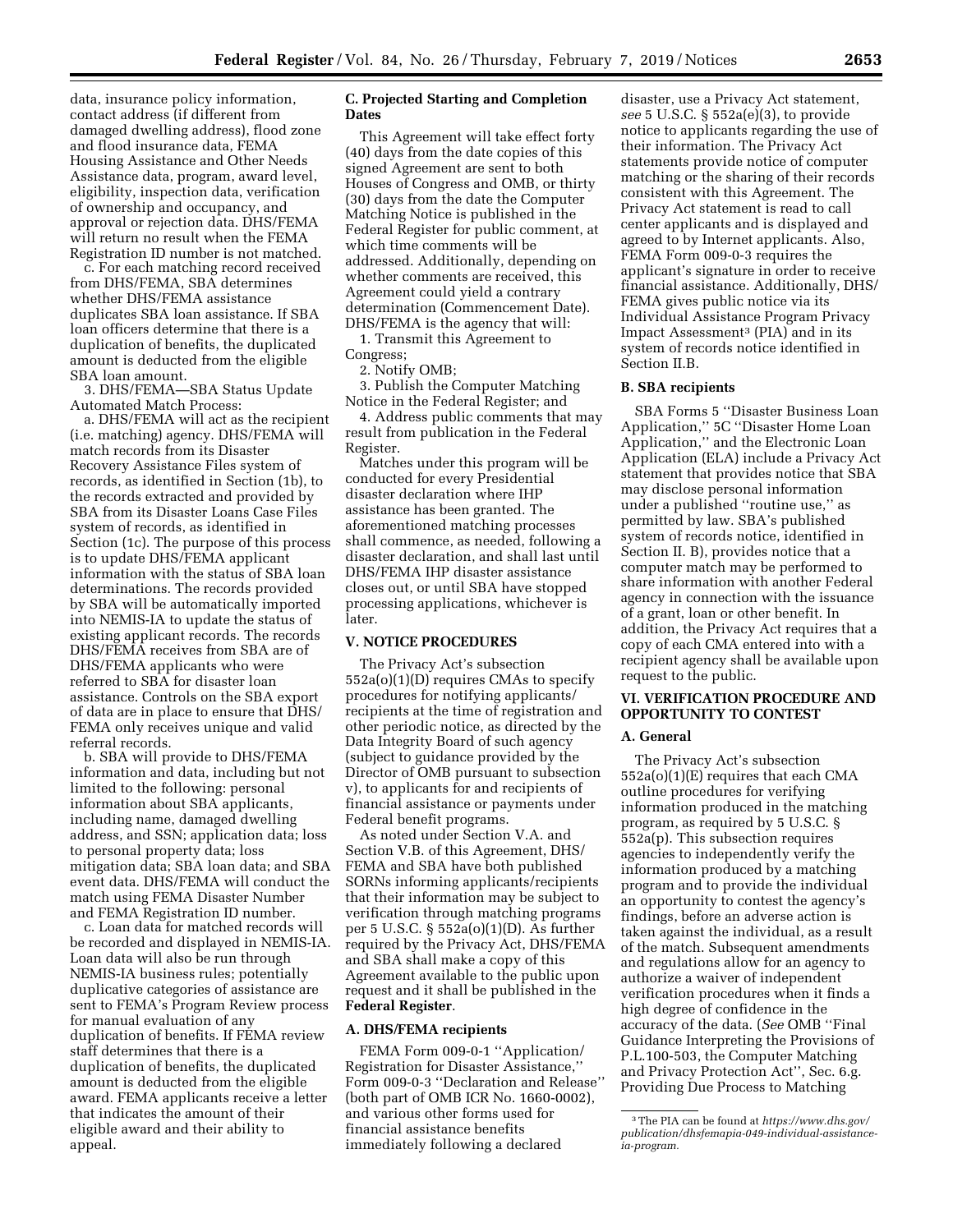data, insurance policy information, contact address (if different from damaged dwelling address), flood zone and flood insurance data, FEMA Housing Assistance and Other Needs Assistance data, program, award level, eligibility, inspection data, verification of ownership and occupancy, and approval or rejection data. DHS/FEMA will return no result when the FEMA Registration ID number is not matched.

c. For each matching record received from DHS/FEMA, SBA determines whether DHS/FEMA assistance duplicates SBA loan assistance. If SBA loan officers determine that there is a duplication of benefits, the duplicated amount is deducted from the eligible SBA loan amount.

3. DHS/FEMA—SBA Status Update Automated Match Process:

a. DHS/FEMA will act as the recipient (i.e. matching) agency. DHS/FEMA will match records from its Disaster Recovery Assistance Files system of records, as identified in Section (1b), to the records extracted and provided by SBA from its Disaster Loans Case Files system of records, as identified in Section (1c). The purpose of this process is to update DHS/FEMA applicant information with the status of SBA loan determinations. The records provided by SBA will be automatically imported into NEMIS-IA to update the status of existing applicant records. The records DHS/FEMA receives from SBA are of DHS/FEMA applicants who were referred to SBA for disaster loan assistance. Controls on the SBA export of data are in place to ensure that DHS/ FEMA only receives unique and valid referral records.

b. SBA will provide to DHS/FEMA information and data, including but not limited to the following: personal information about SBA applicants, including name, damaged dwelling address, and SSN; application data; loss to personal property data; loss mitigation data; SBA loan data; and SBA event data. DHS/FEMA will conduct the match using FEMA Disaster Number and FEMA Registration ID number.

c. Loan data for matched records will be recorded and displayed in NEMIS-IA. Loan data will also be run through NEMIS-IA business rules; potentially duplicative categories of assistance are sent to FEMA's Program Review process for manual evaluation of any duplication of benefits. If FEMA review staff determines that there is a duplication of benefits, the duplicated amount is deducted from the eligible award. FEMA applicants receive a letter that indicates the amount of their eligible award and their ability to appeal.

## **C. Projected Starting and Completion Dates**

This Agreement will take effect forty (40) days from the date copies of this signed Agreement are sent to both Houses of Congress and OMB, or thirty (30) days from the date the Computer Matching Notice is published in the Federal Register for public comment, at which time comments will be addressed. Additionally, depending on whether comments are received, this Agreement could yield a contrary determination (Commencement Date). DHS/FEMA is the agency that will:

1. Transmit this Agreement to Congress;

2. Notify OMB;

3. Publish the Computer Matching Notice in the Federal Register; and

4. Address public comments that may result from publication in the Federal Register.

Matches under this program will be conducted for every Presidential disaster declaration where IHP assistance has been granted. The aforementioned matching processes shall commence, as needed, following a disaster declaration, and shall last until DHS/FEMA IHP disaster assistance closes out, or until SBA have stopped processing applications, whichever is later.

## **V. NOTICE PROCEDURES**

The Privacy Act's subsection 552a(o)(1)(D) requires CMAs to specify procedures for notifying applicants/ recipients at the time of registration and other periodic notice, as directed by the Data Integrity Board of such agency (subject to guidance provided by the Director of OMB pursuant to subsection v), to applicants for and recipients of financial assistance or payments under Federal benefit programs.

As noted under Section V.A. and Section V.B. of this Agreement, DHS/ FEMA and SBA have both published SORNs informing applicants/recipients that their information may be subject to verification through matching programs per 5 U.S.C. § 552a(o)(1)(D). As further required by the Privacy Act, DHS/FEMA and SBA shall make a copy of this Agreement available to the public upon request and it shall be published in the **Federal Register**.

#### **A. DHS/FEMA recipients**

FEMA Form 009-0-1 ''Application/ Registration for Disaster Assistance,'' Form 009-0-3 ''Declaration and Release'' (both part of OMB ICR No. 1660-0002), and various other forms used for financial assistance benefits immediately following a declared

disaster, use a Privacy Act statement, *see* 5 U.S.C. § 552a(e)(3), to provide notice to applicants regarding the use of their information. The Privacy Act statements provide notice of computer matching or the sharing of their records consistent with this Agreement. The Privacy Act statement is read to call center applicants and is displayed and agreed to by Internet applicants. Also, FEMA Form 009-0-3 requires the applicant's signature in order to receive financial assistance. Additionally, DHS/ FEMA gives public notice via its Individual Assistance Program Privacy Impact Assessment3 (PIA) and in its system of records notice identified in Section II.B.

#### **B. SBA recipients**

SBA Forms 5 ''Disaster Business Loan Application,'' 5C ''Disaster Home Loan Application,'' and the Electronic Loan Application (ELA) include a Privacy Act statement that provides notice that SBA may disclose personal information under a published ''routine use,'' as permitted by law. SBA's published system of records notice, identified in Section II. B), provides notice that a computer match may be performed to share information with another Federal agency in connection with the issuance of a grant, loan or other benefit. In addition, the Privacy Act requires that a copy of each CMA entered into with a recipient agency shall be available upon request to the public.

# **VI. VERIFICATION PROCEDURE AND OPPORTUNITY TO CONTEST**

# **A. General**

The Privacy Act's subsection 552a(o)(1)(E) requires that each CMA outline procedures for verifying information produced in the matching program, as required by 5 U.S.C. § 552a(p). This subsection requires agencies to independently verify the information produced by a matching program and to provide the individual an opportunity to contest the agency's findings, before an adverse action is taken against the individual, as a result of the match. Subsequent amendments and regulations allow for an agency to authorize a waiver of independent verification procedures when it finds a high degree of confidence in the accuracy of the data. (*See* OMB ''Final Guidance Interpreting the Provisions of P.L.100-503, the Computer Matching and Privacy Protection Act'', Sec. 6.g. Providing Due Process to Matching

<sup>3</sup>The PIA can be found at *[https://www.dhs.gov/](https://www.dhs.gov/publication/dhsfemapia-049-individual-assistance-ia-program)  [publication/dhsfemapia-049-individual-assistance](https://www.dhs.gov/publication/dhsfemapia-049-individual-assistance-ia-program)[ia-program.](https://www.dhs.gov/publication/dhsfemapia-049-individual-assistance-ia-program)*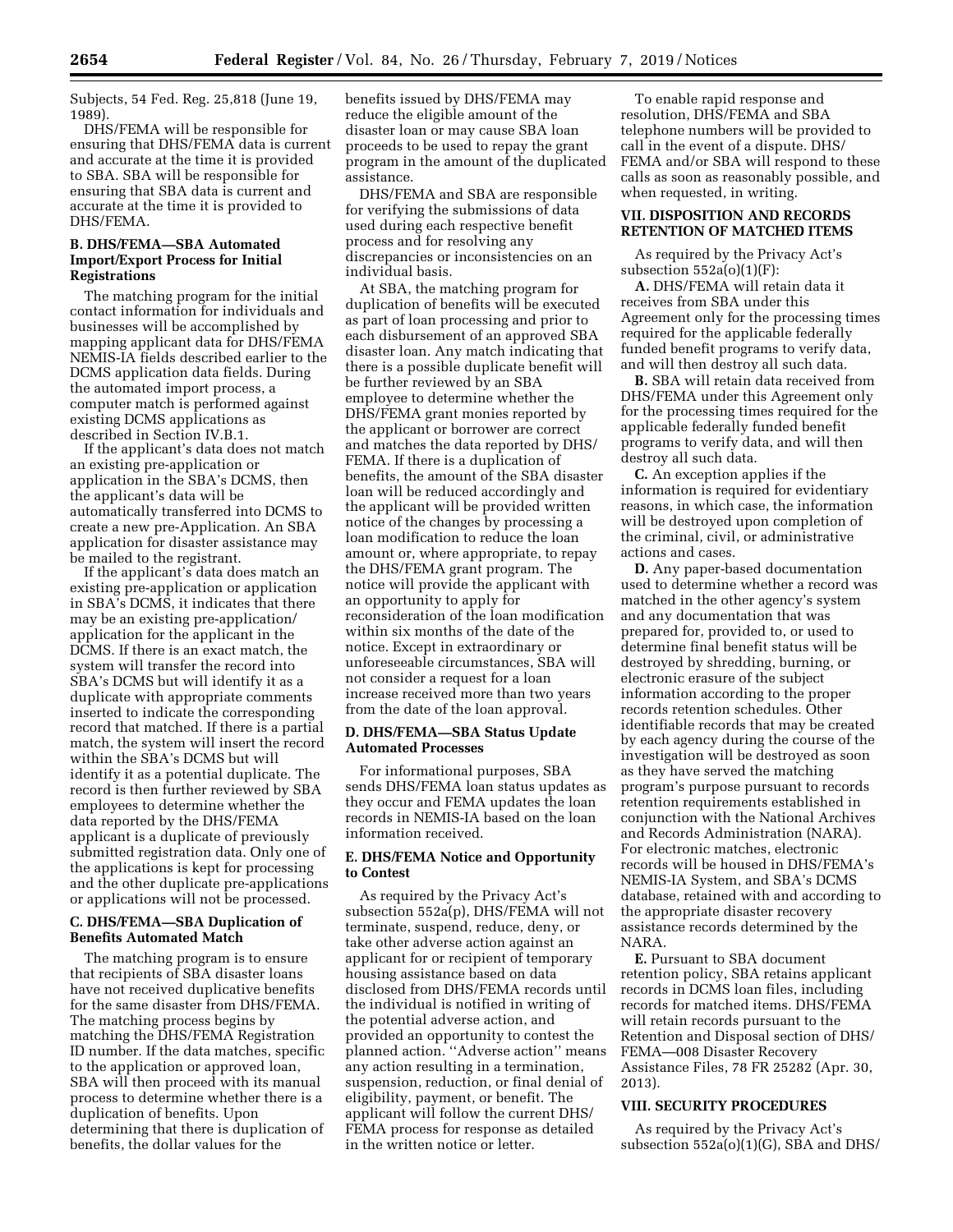Subjects, 54 Fed. Reg. 25,818 (June 19, 1989).

DHS/FEMA will be responsible for ensuring that DHS/FEMA data is current and accurate at the time it is provided to SBA. SBA will be responsible for ensuring that SBA data is current and accurate at the time it is provided to DHS/FEMA.

## **B. DHS/FEMA—SBA Automated Import/Export Process for Initial Registrations**

The matching program for the initial contact information for individuals and businesses will be accomplished by mapping applicant data for DHS/FEMA NEMIS-IA fields described earlier to the DCMS application data fields. During the automated import process, a computer match is performed against existing DCMS applications as described in Section IV.B.1.

If the applicant's data does not match an existing pre-application or application in the SBA's DCMS, then the applicant's data will be automatically transferred into DCMS to create a new pre-Application. An SBA application for disaster assistance may be mailed to the registrant.

If the applicant's data does match an existing pre-application or application in SBA's DCMS, it indicates that there may be an existing pre-application/ application for the applicant in the DCMS. If there is an exact match, the system will transfer the record into SBA's DCMS but will identify it as a duplicate with appropriate comments inserted to indicate the corresponding record that matched. If there is a partial match, the system will insert the record within the SBA's DCMS but will identify it as a potential duplicate. The record is then further reviewed by SBA employees to determine whether the data reported by the DHS/FEMA applicant is a duplicate of previously submitted registration data. Only one of the applications is kept for processing and the other duplicate pre-applications or applications will not be processed.

# **C. DHS/FEMA—SBA Duplication of Benefits Automated Match**

The matching program is to ensure that recipients of SBA disaster loans have not received duplicative benefits for the same disaster from DHS/FEMA. The matching process begins by matching the DHS/FEMA Registration ID number. If the data matches, specific to the application or approved loan, SBA will then proceed with its manual process to determine whether there is a duplication of benefits. Upon determining that there is duplication of benefits, the dollar values for the

benefits issued by DHS/FEMA may reduce the eligible amount of the disaster loan or may cause SBA loan proceeds to be used to repay the grant program in the amount of the duplicated assistance.

DHS/FEMA and SBA are responsible for verifying the submissions of data used during each respective benefit process and for resolving any discrepancies or inconsistencies on an individual basis.

At SBA, the matching program for duplication of benefits will be executed as part of loan processing and prior to each disbursement of an approved SBA disaster loan. Any match indicating that there is a possible duplicate benefit will be further reviewed by an SBA employee to determine whether the DHS/FEMA grant monies reported by the applicant or borrower are correct and matches the data reported by DHS/ FEMA. If there is a duplication of benefits, the amount of the SBA disaster loan will be reduced accordingly and the applicant will be provided written notice of the changes by processing a loan modification to reduce the loan amount or, where appropriate, to repay the DHS/FEMA grant program. The notice will provide the applicant with an opportunity to apply for reconsideration of the loan modification within six months of the date of the notice. Except in extraordinary or unforeseeable circumstances, SBA will not consider a request for a loan increase received more than two years from the date of the loan approval.

## **D. DHS/FEMA—SBA Status Update Automated Processes**

For informational purposes, SBA sends DHS/FEMA loan status updates as they occur and FEMA updates the loan records in NEMIS-IA based on the loan information received.

## **E. DHS/FEMA Notice and Opportunity to Contest**

As required by the Privacy Act's subsection 552a(p), DHS/FEMA will not terminate, suspend, reduce, deny, or take other adverse action against an applicant for or recipient of temporary housing assistance based on data disclosed from DHS/FEMA records until the individual is notified in writing of the potential adverse action, and provided an opportunity to contest the planned action. ''Adverse action'' means any action resulting in a termination, suspension, reduction, or final denial of eligibility, payment, or benefit. The applicant will follow the current DHS/ FEMA process for response as detailed in the written notice or letter.

To enable rapid response and resolution, DHS/FEMA and SBA telephone numbers will be provided to call in the event of a dispute. DHS/ FEMA and/or SBA will respond to these calls as soon as reasonably possible, and when requested, in writing.

## **VII. DISPOSITION AND RECORDS RETENTION OF MATCHED ITEMS**

As required by the Privacy Act's subsection  $552a(o)(1)(F)$ :

**A.** DHS/FEMA will retain data it receives from SBA under this Agreement only for the processing times required for the applicable federally funded benefit programs to verify data, and will then destroy all such data.

**B.** SBA will retain data received from DHS/FEMA under this Agreement only for the processing times required for the applicable federally funded benefit programs to verify data, and will then destroy all such data.

**C.** An exception applies if the information is required for evidentiary reasons, in which case, the information will be destroyed upon completion of the criminal, civil, or administrative actions and cases.

**D.** Any paper-based documentation used to determine whether a record was matched in the other agency's system and any documentation that was prepared for, provided to, or used to determine final benefit status will be destroyed by shredding, burning, or electronic erasure of the subject information according to the proper records retention schedules. Other identifiable records that may be created by each agency during the course of the investigation will be destroyed as soon as they have served the matching program's purpose pursuant to records retention requirements established in conjunction with the National Archives and Records Administration (NARA). For electronic matches, electronic records will be housed in DHS/FEMA's NEMIS-IA System, and SBA's DCMS database, retained with and according to the appropriate disaster recovery assistance records determined by the NARA.

**E.** Pursuant to SBA document retention policy, SBA retains applicant records in DCMS loan files, including records for matched items. DHS/FEMA will retain records pursuant to the Retention and Disposal section of DHS/ FEMA—008 Disaster Recovery Assistance Files, 78 FR 25282 (Apr. 30, 2013).

## **VIII. SECURITY PROCEDURES**

As required by the Privacy Act's subsection 552a(o)(1)(G), SBA and DHS/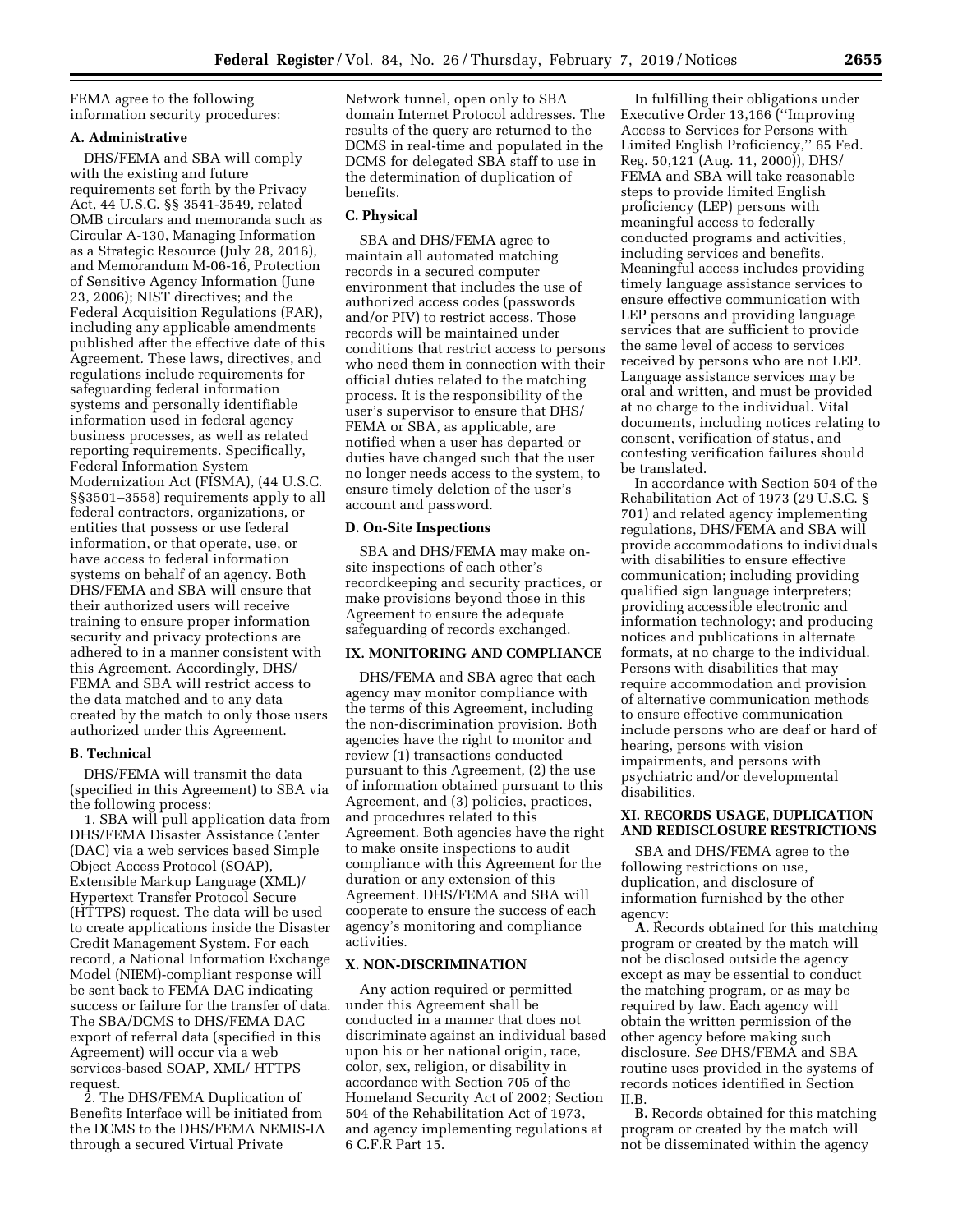FEMA agree to the following information security procedures:

#### **A. Administrative**

DHS/FEMA and SBA will comply with the existing and future requirements set forth by the Privacy Act, 44 U.S.C. §§ 3541-3549, related OMB circulars and memoranda such as Circular A-130, Managing Information as a Strategic Resource (July 28, 2016), and Memorandum M-06-16, Protection of Sensitive Agency Information (June 23, 2006); NIST directives; and the Federal Acquisition Regulations (FAR), including any applicable amendments published after the effective date of this Agreement*.* These laws, directives, and regulations include requirements for safeguarding federal information systems and personally identifiable information used in federal agency business processes, as well as related reporting requirements. Specifically, Federal Information System Modernization Act (FISMA), (44 U.S.C. §§3501–3558) requirements apply to all federal contractors, organizations, or entities that possess or use federal information, or that operate, use, or have access to federal information systems on behalf of an agency. Both DHS/FEMA and SBA will ensure that their authorized users will receive training to ensure proper information security and privacy protections are adhered to in a manner consistent with this Agreement. Accordingly, DHS/ FEMA and SBA will restrict access to the data matched and to any data created by the match to only those users authorized under this Agreement.

#### **B. Technical**

DHS/FEMA will transmit the data (specified in this Agreement) to SBA via the following process:

1. SBA will pull application data from DHS/FEMA Disaster Assistance Center (DAC) via a web services based Simple Object Access Protocol (SOAP), Extensible Markup Language (XML)/ Hypertext Transfer Protocol Secure (HTTPS) request. The data will be used to create applications inside the Disaster Credit Management System. For each record, a National Information Exchange Model (NIEM)-compliant response will be sent back to FEMA DAC indicating success or failure for the transfer of data. The SBA/DCMS to DHS/FEMA DAC export of referral data (specified in this Agreement) will occur via a web services-based SOAP, XML/ HTTPS request.

2. The DHS/FEMA Duplication of Benefits Interface will be initiated from the DCMS to the DHS/FEMA NEMIS-IA through a secured Virtual Private

Network tunnel, open only to SBA domain Internet Protocol addresses. The results of the query are returned to the DCMS in real-time and populated in the DCMS for delegated SBA staff to use in the determination of duplication of benefits.

### **C. Physical**

SBA and DHS/FEMA agree to maintain all automated matching records in a secured computer environment that includes the use of authorized access codes (passwords and/or PIV) to restrict access. Those records will be maintained under conditions that restrict access to persons who need them in connection with their official duties related to the matching process. It is the responsibility of the user's supervisor to ensure that DHS/ FEMA or SBA, as applicable, are notified when a user has departed or duties have changed such that the user no longer needs access to the system, to ensure timely deletion of the user's account and password.

## **D. On-Site Inspections**

SBA and DHS/FEMA may make onsite inspections of each other's recordkeeping and security practices, or make provisions beyond those in this Agreement to ensure the adequate safeguarding of records exchanged.

#### **IX. MONITORING AND COMPLIANCE**

DHS/FEMA and SBA agree that each agency may monitor compliance with the terms of this Agreement, including the non-discrimination provision. Both agencies have the right to monitor and review (1) transactions conducted pursuant to this Agreement, (2) the use of information obtained pursuant to this Agreement, and (3) policies, practices, and procedures related to this Agreement. Both agencies have the right to make onsite inspections to audit compliance with this Agreement for the duration or any extension of this Agreement. DHS/FEMA and SBA will cooperate to ensure the success of each agency's monitoring and compliance activities.

## **X. NON-DISCRIMINATION**

Any action required or permitted under this Agreement shall be conducted in a manner that does not discriminate against an individual based upon his or her national origin, race, color, sex, religion, or disability in accordance with Section 705 of the Homeland Security Act of 2002; Section 504 of the Rehabilitation Act of 1973, and agency implementing regulations at 6 C.F.R Part 15.

In fulfilling their obligations under Executive Order 13,166 (''Improving Access to Services for Persons with Limited English Proficiency,'' 65 Fed. Reg. 50,121 (Aug. 11, 2000)), DHS/ FEMA and SBA will take reasonable steps to provide limited English proficiency (LEP) persons with meaningful access to federally conducted programs and activities, including services and benefits. Meaningful access includes providing timely language assistance services to ensure effective communication with LEP persons and providing language services that are sufficient to provide the same level of access to services received by persons who are not LEP. Language assistance services may be oral and written, and must be provided at no charge to the individual. Vital documents, including notices relating to consent, verification of status, and contesting verification failures should be translated.

In accordance with Section 504 of the Rehabilitation Act of 1973 (29 U.S.C. § 701) and related agency implementing regulations, DHS/FEMA and SBA will provide accommodations to individuals with disabilities to ensure effective communication; including providing qualified sign language interpreters; providing accessible electronic and information technology; and producing notices and publications in alternate formats, at no charge to the individual. Persons with disabilities that may require accommodation and provision of alternative communication methods to ensure effective communication include persons who are deaf or hard of hearing, persons with vision impairments, and persons with psychiatric and/or developmental disabilities.

#### **XI. RECORDS USAGE, DUPLICATION AND REDISCLOSURE RESTRICTIONS**

SBA and DHS/FEMA agree to the following restrictions on use, duplication, and disclosure of information furnished by the other agency:

**A.** Records obtained for this matching program or created by the match will not be disclosed outside the agency except as may be essential to conduct the matching program, or as may be required by law. Each agency will obtain the written permission of the other agency before making such disclosure. *See* DHS/FEMA and SBA routine uses provided in the systems of records notices identified in Section II.B.

**B.** Records obtained for this matching program or created by the match will not be disseminated within the agency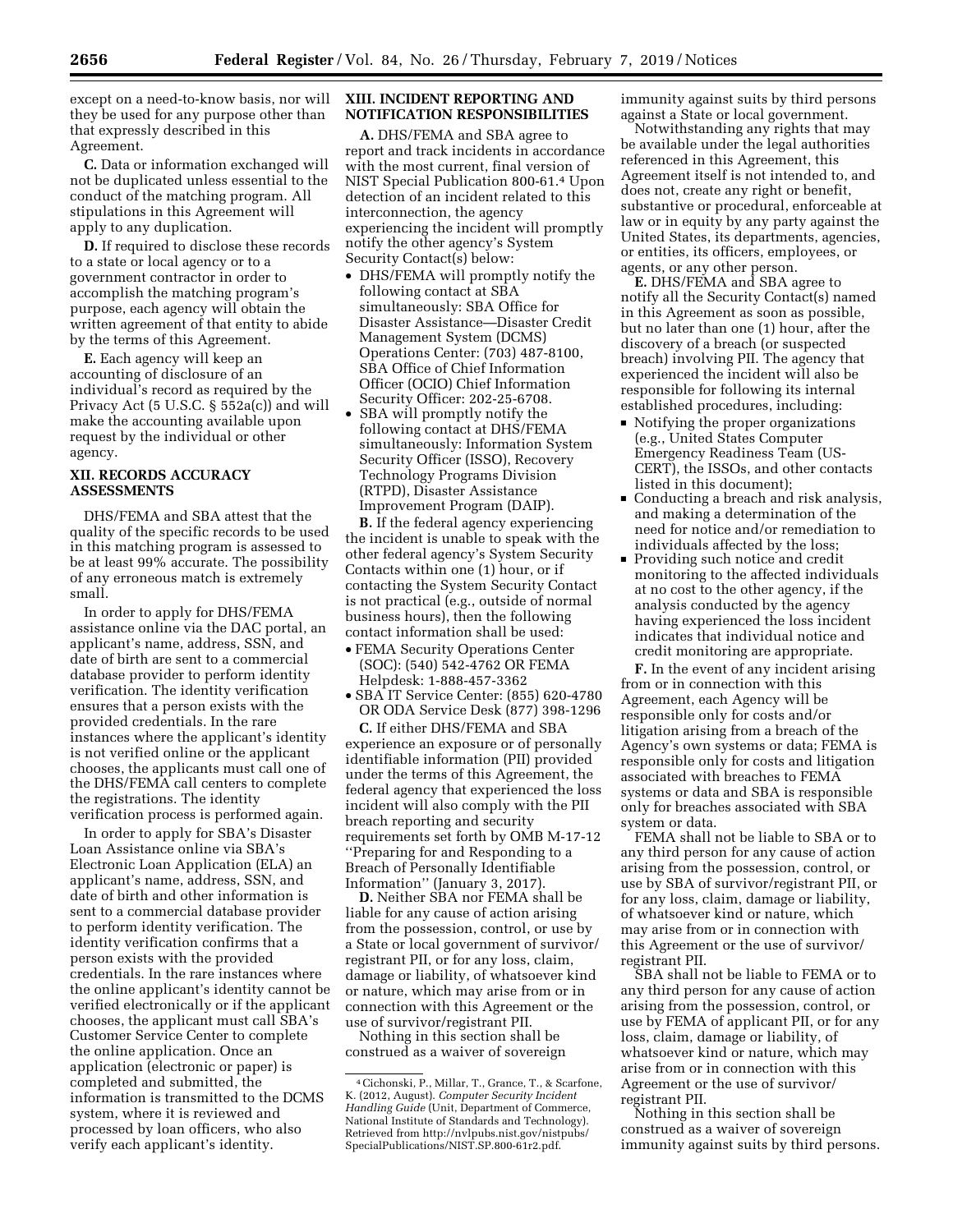except on a need-to-know basis, nor will they be used for any purpose other than that expressly described in this Agreement.

**C.** Data or information exchanged will not be duplicated unless essential to the conduct of the matching program. All stipulations in this Agreement will apply to any duplication.

**D.** If required to disclose these records to a state or local agency or to a government contractor in order to accomplish the matching program's purpose, each agency will obtain the written agreement of that entity to abide by the terms of this Agreement.

**E.** Each agency will keep an accounting of disclosure of an individual's record as required by the Privacy Act (5 U.S.C. § 552a(c)) and will make the accounting available upon request by the individual or other agency.

## **XII. RECORDS ACCURACY ASSESSMENTS**

DHS/FEMA and SBA attest that the quality of the specific records to be used in this matching program is assessed to be at least 99% accurate. The possibility of any erroneous match is extremely small.

In order to apply for DHS/FEMA assistance online via the DAC portal, an applicant's name, address, SSN, and date of birth are sent to a commercial database provider to perform identity verification. The identity verification ensures that a person exists with the provided credentials. In the rare instances where the applicant's identity is not verified online or the applicant chooses, the applicants must call one of the DHS/FEMA call centers to complete the registrations. The identity verification process is performed again.

In order to apply for SBA's Disaster Loan Assistance online via SBA's Electronic Loan Application (ELA) an applicant's name, address, SSN, and date of birth and other information is sent to a commercial database provider to perform identity verification. The identity verification confirms that a person exists with the provided credentials. In the rare instances where the online applicant's identity cannot be verified electronically or if the applicant chooses, the applicant must call SBA's Customer Service Center to complete the online application. Once an application (electronic or paper) is completed and submitted, the information is transmitted to the DCMS system, where it is reviewed and processed by loan officers, who also verify each applicant's identity.

## **XIII. INCIDENT REPORTING AND NOTIFICATION RESPONSIBILITIES**

**A.** DHS/FEMA and SBA agree to report and track incidents in accordance with the most current, final version of NIST Special Publication 800-61.4 Upon detection of an incident related to this interconnection, the agency experiencing the incident will promptly notify the other agency's System Security Contact(s) below:

- DHS/FEMA will promptly notify the following contact at SBA simultaneously: SBA Office for Disaster Assistance—Disaster Credit Management System (DCMS) Operations Center: (703) 487-8100, SBA Office of Chief Information Officer (OCIO) Chief Information Security Officer: 202-25-6708.
- SBA will promptly notify the following contact at DHS/FEMA simultaneously: Information System Security Officer (ISSO), Recovery Technology Programs Division (RTPD), Disaster Assistance Improvement Program (DAIP).

**B.** If the federal agency experiencing the incident is unable to speak with the other federal agency's System Security Contacts within one (1) hour, or if contacting the System Security Contact is not practical (e.g., outside of normal business hours), then the following contact information shall be used:

- FEMA Security Operations Center (SOC): (540) 542-4762 OR FEMA Helpdesk: 1-888-457-3362
- SBA IT Service Center: (855) 620-4780 OR ODA Service Desk (877) 398-1296

**C.** If either DHS/FEMA and SBA experience an exposure or of personally identifiable information (PII) provided under the terms of this Agreement, the federal agency that experienced the loss incident will also comply with the PII breach reporting and security requirements set forth by OMB M-17-12 ''Preparing for and Responding to a Breach of Personally Identifiable Information'' (January 3, 2017).

**D.** Neither SBA nor FEMA shall be liable for any cause of action arising from the possession, control, or use by a State or local government of survivor/ registrant PII, or for any loss, claim, damage or liability, of whatsoever kind or nature, which may arise from or in connection with this Agreement or the use of survivor/registrant PII.

Nothing in this section shall be construed as a waiver of sovereign immunity against suits by third persons against a State or local government.

Notwithstanding any rights that may be available under the legal authorities referenced in this Agreement, this Agreement itself is not intended to, and does not, create any right or benefit, substantive or procedural, enforceable at law or in equity by any party against the United States, its departments, agencies, or entities, its officers, employees, or agents, or any other person.

**E.** DHS/FEMA and SBA agree to notify all the Security Contact(s) named in this Agreement as soon as possible, but no later than one (1) hour, after the discovery of a breach (or suspected breach) involving PII. The agency that experienced the incident will also be responsible for following its internal established procedures, including:

- Notifying the proper organizations (e.g., United States Computer Emergency Readiness Team (US-CERT), the ISSOs, and other contacts listed in this document);
- Conducting a breach and risk analysis, and making a determination of the need for notice and/or remediation to individuals affected by the loss;
- Providing such notice and credit monitoring to the affected individuals at no cost to the other agency, if the analysis conducted by the agency having experienced the loss incident indicates that individual notice and credit monitoring are appropriate.

**F.** In the event of any incident arising from or in connection with this Agreement, each Agency will be responsible only for costs and/or litigation arising from a breach of the Agency's own systems or data; FEMA is responsible only for costs and litigation associated with breaches to FEMA systems or data and SBA is responsible only for breaches associated with SBA system or data.

FEMA shall not be liable to SBA or to any third person for any cause of action arising from the possession, control, or use by SBA of survivor/registrant PII, or for any loss, claim, damage or liability, of whatsoever kind or nature, which may arise from or in connection with this Agreement or the use of survivor/ registrant PII.

SBA shall not be liable to FEMA or to any third person for any cause of action arising from the possession, control, or use by FEMA of applicant PII, or for any loss, claim, damage or liability, of whatsoever kind or nature, which may arise from or in connection with this Agreement or the use of survivor/ registrant PII.

Nothing in this section shall be construed as a waiver of sovereign immunity against suits by third persons.

<sup>4</sup>Cichonski, P., Millar, T., Grance, T., & Scarfone, K. (2012, August). *Computer Security Incident Handling Guide* (Unit, Department of Commerce, National Institute of Standards and Technology). Retrieved fro[m http://nvlpubs.nist.gov/nistpubs/](http://nvlpubs.nist.gov/nistpubs/SpecialPublications/NIST.SP.800-61r2.pdf)  [SpecialPublications/NIST.SP.800-61r2.pdf.](http://nvlpubs.nist.gov/nistpubs/SpecialPublications/NIST.SP.800-61r2.pdf)